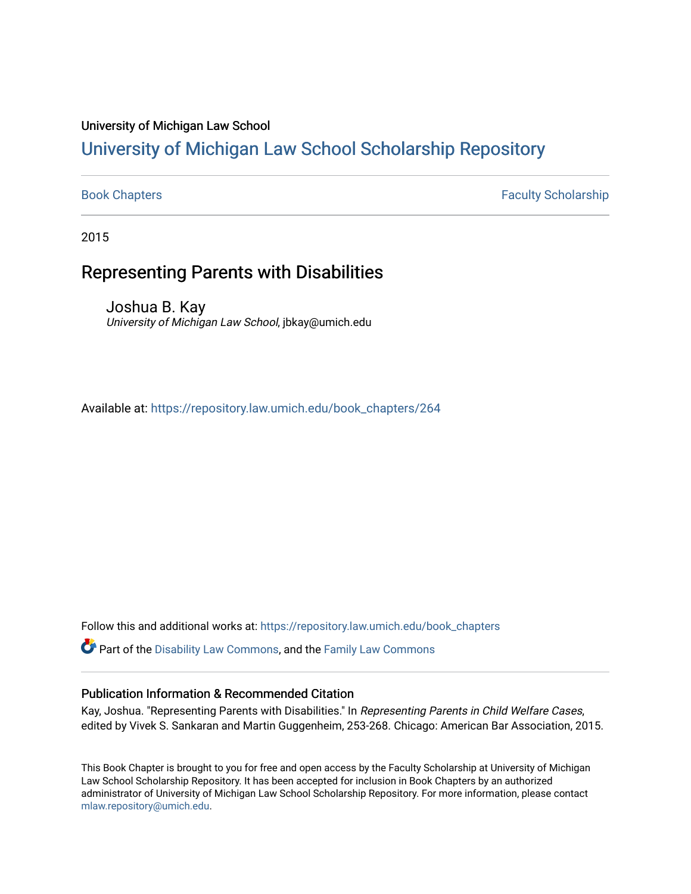#### University of Michigan Law School

### [University of Michigan Law School Scholarship Repository](https://repository.law.umich.edu/)

[Book Chapters](https://repository.law.umich.edu/book_chapters) Faculty Scholarship

2015

#### Representing Parents with Disabilities

Joshua B. Kay University of Michigan Law School, jbkay@umich.edu

Available at: [https://repository.law.umich.edu/book\\_chapters/264](https://repository.law.umich.edu/book_chapters/264) 

Follow this and additional works at: [https://repository.law.umich.edu/book\\_chapters](https://repository.law.umich.edu/book_chapters?utm_source=repository.law.umich.edu%2Fbook_chapters%2F264&utm_medium=PDF&utm_campaign=PDFCoverPages)

Part of the [Disability Law Commons](http://network.bepress.com/hgg/discipline/1074?utm_source=repository.law.umich.edu%2Fbook_chapters%2F264&utm_medium=PDF&utm_campaign=PDFCoverPages), and the [Family Law Commons](http://network.bepress.com/hgg/discipline/602?utm_source=repository.law.umich.edu%2Fbook_chapters%2F264&utm_medium=PDF&utm_campaign=PDFCoverPages) 

#### Publication Information & Recommended Citation

Kay, Joshua. "Representing Parents with Disabilities." In Representing Parents in Child Welfare Cases, edited by Vivek S. Sankaran and Martin Guggenheim, 253-268. Chicago: American Bar Association, 2015.

This Book Chapter is brought to you for free and open access by the Faculty Scholarship at University of Michigan Law School Scholarship Repository. It has been accepted for inclusion in Book Chapters by an authorized administrator of University of Michigan Law School Scholarship Repository. For more information, please contact [mlaw.repository@umich.edu.](mailto:mlaw.repository@umich.edu)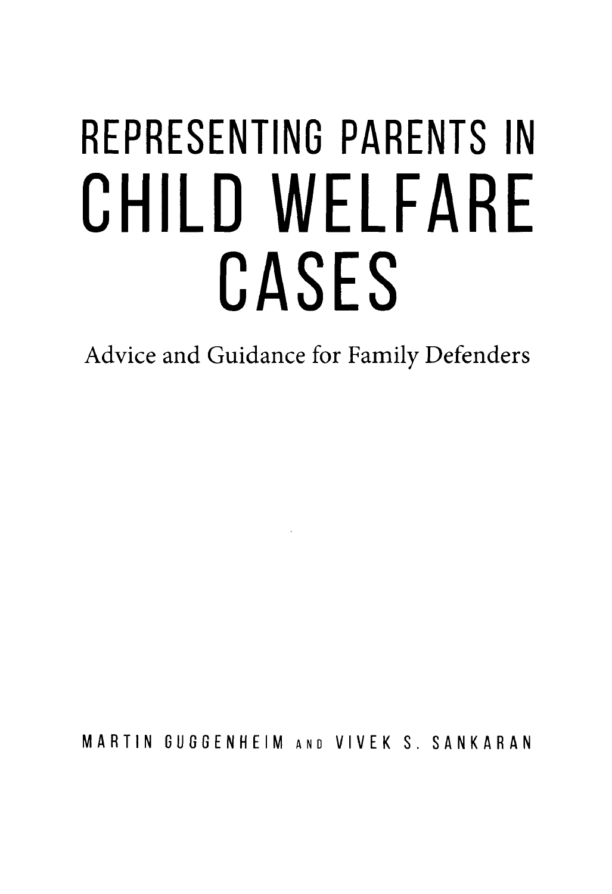# **REPRESENTING PARENTS IN CHILO WELFARE CASES**

Advice and Guidance for Family Defenders

MARTIN GUGGENHEIM AND VIVEK S. SANKARAN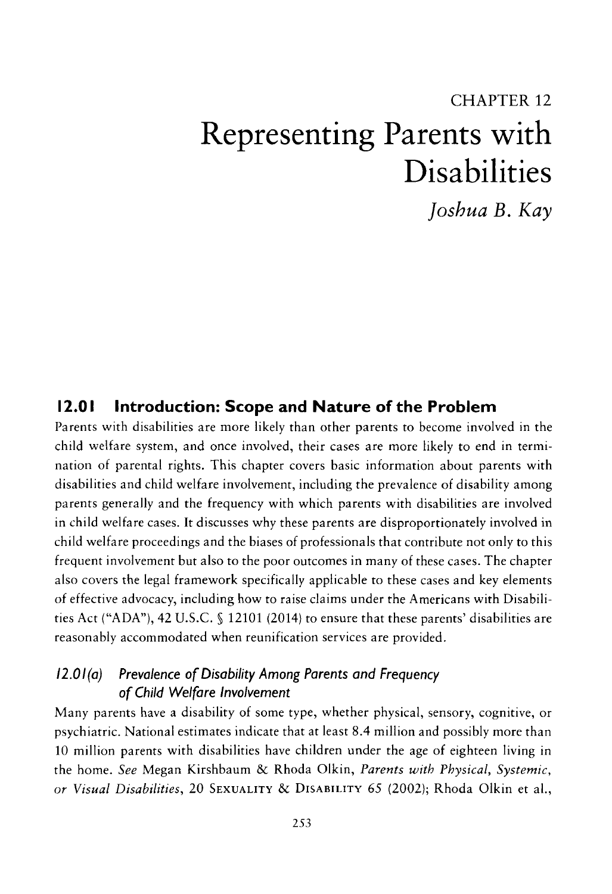## CHAPTER 12 **Representing Parents with Disabilities**

*Joshua B. Kay* 

#### **12.0 I Introduction: Scope and Nature of the Problem**

Parents with disabilities are more likely than other parents to become involved in the child welfare system, and once involved, their cases are more likely to end in termination of parental rights. This chapter covers basic information about parents with disabilities and child welfare involvement, including the prevalence of disability among parents generally and the frequency with which parents with disabilities are involved in child welfare cases. It discusses why these parents are disproportionately involved in child welfare proceedings and the biases of professionals that contribute not only to this frequent involvement but also to the poor outcomes in many of these cases. The chapter also covers the legal framework specifically applicable to these cases and key elements of effective advocacy, including how to raise claims under the Americans with Disabilities Act ("ADA"), 42 U.S.C. § 12101 (2014) to ensure that these parents' disabilities are reasonably accommodated when reunification services are provided.

#### *12.0 I (a) Prevalence of Disability Among Parents and Frequency of Child Welfare Involvement*

Many parents have a disability of some type, whether physical, sensory, cognitive, or psychiatric. National estimates indicate that at least 8.4 million and possibly more than 10 million parents with disabilities have children under the age of eighteen living in the home. *See* Megan Kirshbaum & Rhoda Olkin, *Parents with Physical, Systemic, or Visual Disabilities,* 20 SEXUALITY & DISABILITY 65 (2002); Rhoda Olkin et al.,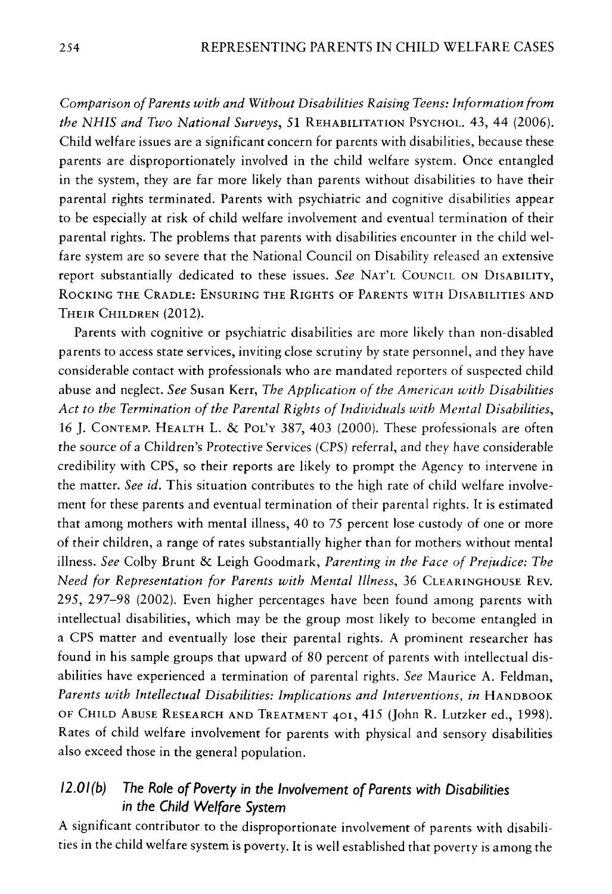*Comparison of Parents with and Without Disabilities Raising Teens: Information from the NHIS and Two National Surveys,* 51 REHABILITATION PsYCHOL. 43, 44 (2006). Child welfare issues are a significant concern for parents with disabilities, because these parents are disproportionately involved in the child welfare system. Once entangled in the system, they are far more likely than parents without disabilities to have their parental rights terminated. Parents with psychiatric and cognitive disabilities appear to be especially at risk of child welfare involvement and eventual termination of their parental rights. The problems that parents with disabilities encounter in the child welfare system are so severe that the National Council on Disability released an extensive report substantially dedicated to these issues. *See* NAT'L COUNCIL ON DISABILITY, ROCKING THE CRADLE: ENSURING THE RIGHTS OF PARENTS WITH DISABILITIES AND THEIR CHILDREN (2012).

Parents with cognitive or psychiatric disabilities are more likely than non-disabled parents to access state services, inviting close scrutiny by state personnel, and they have considerable contact with professionals who are mandated reporters of suspected child abuse and neglect. *See* Susan Kerr, *The Application of the American with Disabilities Act to the Termination of the Parental Rights of Individuals with Mental Disabilities,*  16 J. CoNTEMP. HEALTH L. & POL'Y 387, 403 (2000). These professionals are often the source of a Children's Protective Services (CPS) referral, and they have considerable credibility with CPS, so their reports are likely to prompt the Agency to intervene in the matter. *See id.* This situation contributes to the high rate of child welfare involvement for these parents and eventual termination of their parental rights. It is estimated that among mothers with mental illness, 40 to 75 percent lose custody of one or more of their children, a range of rates substantially higher than for mothers without mental illness. *See* Colby Brunt & Leigh Goodmark, *Parenting in the Face of Prejudice: The Need for Representation for Parents with Mental Illness,* 36 CLEARINGHOUSE REV. 295, 297-98 (2002). Even higher percentages have been found among parents with intellectual disabilities, which may be the group most likely to become entangled in a CPS matter and eventually lose their parental rights. A prominent researcher has found in his sample groups that upward of 80 percent of parents with intellectual disabilities have experienced a termination of parental rights. *See* Maurice A. Feldman, *Parents with Intellectual Disabilities: Implications and Interventions, in HANDBOOK* OF CHILD ABUSE RESEARCH AND TREATMENT 401, 415 (John R. Lutzker ed., 1998). Rates of child welfare involvement for parents with physical and sensory disabilities also exceed those in the general population.

#### *12.0 I (b) The Role of Poverty in the Involvement of Parents with Disabilities in the Child Welfare System*

A significant contributor to the disproportionate involvement of parents with disabilities in the child welfare system is poverty. It is well established that poverty is among the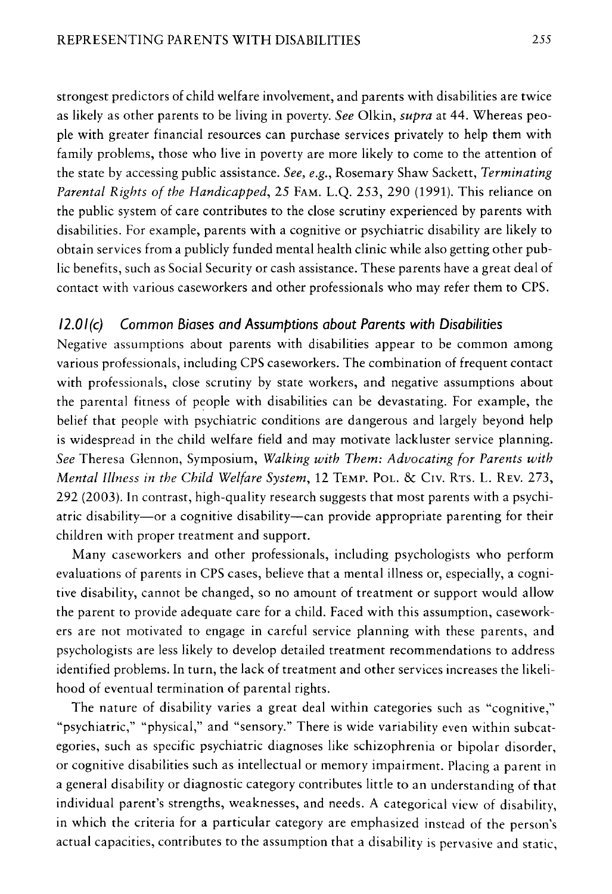strongest predictors of child welfare involvement, and parents with disabilities are twice as likely as other parents to be living in poverty. *See* Olkin, *supra* at 44. Whereas people with greater financial resources can purchase services privately to help them with family problems, those who live in poverty are more likely to come to the attention of the state by accessing public assistance. *See, e.g.,* Rosemary Shaw Sackett, *Terminating Parental Rights of the Handicapped,* 25 FAM. L.Q. 253, 290 (1991). This reliance on the public system of care contributes to the close scrutiny experienced by parents with disabilities. For example, parents with a cognitive or psychiatric disability are likely to obtain services from a publicly funded mental health clinic while also getting other public benefits, such as Social Security or cash assistance. These parents have a great deal of contact with various caseworkers and other professionals who may refer them to CPS.

#### *12.0/(c) Common Biases and Assumptions about Parents with Disabilities*

Negative assumptions about parents with disabilities appear to be common among various professionals, including CPS caseworkers. The combination of frequent contact with professionals, close scrutiny by state workers, and negative assumptions about the parental fitness of people with disabilities can be devastating. For example, the belief that people with psychiatric conditions are dangerous and largely beyond help is widespread in the child welfare field and may motivate lackluster service planning. *See* Theresa Glennon, Symposium, *Walking with Them: Advocating for Parents with Mental Illness in the Child Welfare System,* 12 TEMP. PoL. & Civ. RTs. L. REV. 273, 292 (2003). In contrast, high-quality research suggests that most parents with a psychiatric disability-or a cognitive disability-can provide appropriate parenting for their children with proper treatment and support.

Many caseworkers and other professionals, including psychologists who perform evaluations of parents in CPS cases, believe that a mental illness or, especially, a cognitive disability, cannot be changed, so no amount of treatment or support would allow the parent to provide adequate care for a child. Faced with this assumption, caseworkers are not motivated to engage in careful service planning with these parents, and psychologists are less likely to develop detailed treatment recommendations to address identified problems. In turn, the lack of treatment and other services increases the likelihood of eventual termination of parental rights.

The nature of disability varies a great deal within categories such as "cognitive," "psychiatric," "physical," and "sensory." There is wide variability even within subcategories, such as specific psychiatric diagnoses like schizophrenia or bipolar disorder, or cognitive disabilities such as intellectual or memory impairment. Placing a parent in a general disability or diagnostic category contributes little to an understanding of that individual parent's strengths, weaknesses, and needs. A categorical view of disability, in which the criteria for a particular category are emphasized instead of the person's actual capacities, contributes to the assumption that a disability is pervasive and static,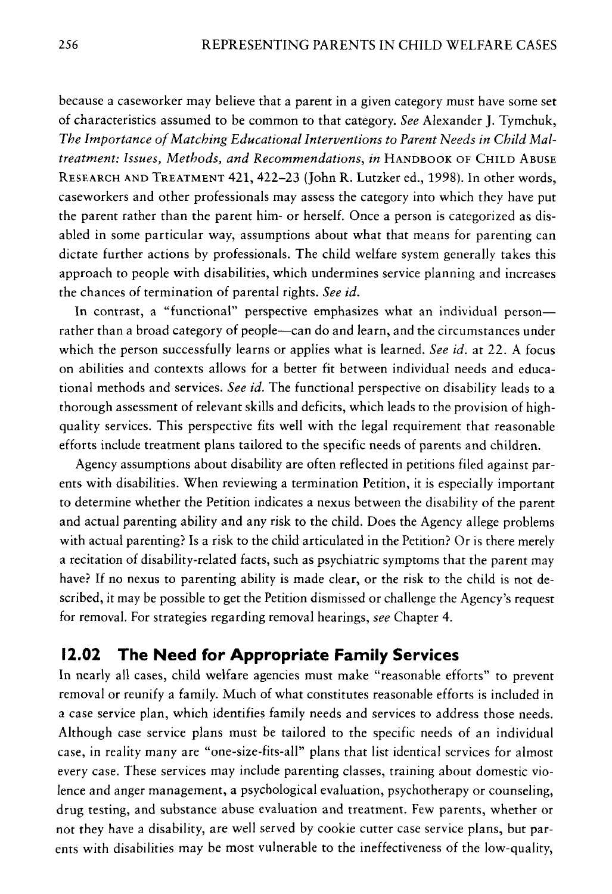because a caseworker may believe that a parent in a given category must have some set of characteristics assumed to be common to that category. *See* Alexander J. Tymchuk, *The Importance of Matching Educational Interventions to Parent Needs in Child Maltreatment: Issues, Methods, and Recommendations, in* HANDBOOK OF CHILD ABUSE RESEARCH AND TREATMENT 421, 422-23 (John R. Lutzker ed., 1998). In other words, caseworkers and other professionals may assess the category into which they have put the parent rather than the parent him- or herself. Once a person is categorized as disabled in some particular way, assumptions about what that means for parenting can dictate further actions by professionals. The child welfare system generally takes this approach to people with disabilities, which undermines service planning and increases the chances of termination of parental rights. *See id.* 

In contrast, a "functional" perspective emphasizes what an individual personrather than a broad category of people—can do and learn, and the circumstances under which the person successfully learns or applies what is learned. *See id.* at 22. A focus on abilities and contexts allows for a better fit between individual needs and educational methods and services. *See id.* The functional perspective on disability leads to a thorough assessment of relevant skills and deficits, which leads to the provision of highquality services. This perspective fits well with the legal requirement that reasonable efforts include treatment plans tailored to the specific needs of parents and children.

Agency assumptions about disability are often reflected in petitions filed against parents with disabilities. When reviewing a termination Petition, it is especially important to determine whether the Petition indicates a nexus between the disability of the parent and actual parenting ability and any risk to the child. Does the Agency allege problems with actual parenting? ls a risk to the child articulated in the Petition? Or is there merely a recitation of disability-related facts, such as psychiatric symptoms that the parent may have? If no nexus to parenting ability is made clear, or the risk to the child is not described, it may be possible to get the Petition dismissed or challenge the Agency's request for removal. For strategies regarding removal hearings, *see* Chapter 4.

#### **12.02 The Need for Appropriate Family Services**

In nearly all cases, child welfare agencies must make "reasonable efforts" to prevent removal or reunify a family. Much of what constitutes reasonable efforts is included in a case service plan, which identifies family needs and services to address those needs. Although case service plans must be tailored to the specific needs of an individual case, in reality many are "one-size-fits-all" plans that list identical services for almost every case. These services may include parenting classes, training about domestic violence and anger management, a psychological evaluation, psychotherapy or counseling, drug testing, and substance abuse evaluation and treatment. Few parents, whether or not they have a disability, are well served by cookie cutter case service plans, but parents with disabilities may be most vulnerable to the ineffectiveness of the low-quality,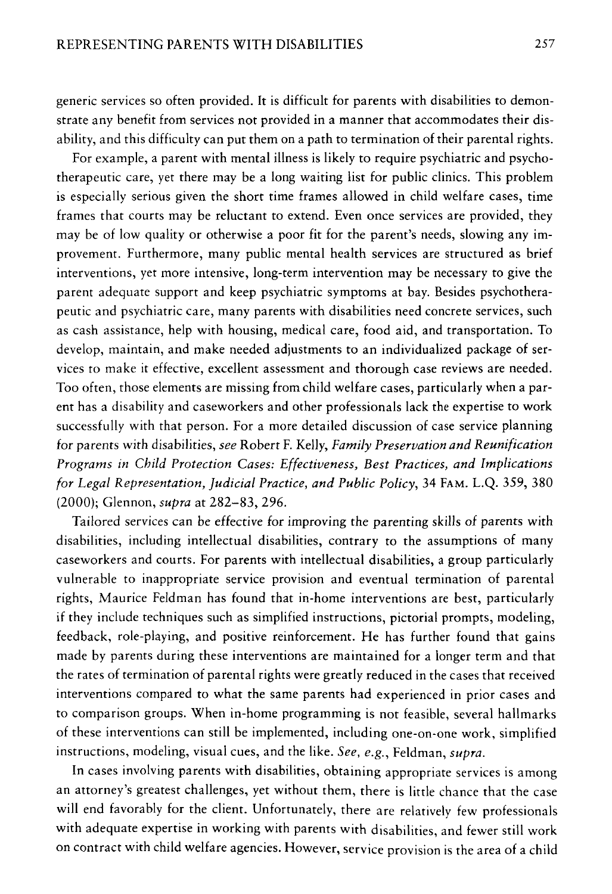generic services so often provided. It is difficult for parents with disabilities to demonstrate any benefit from services not provided in a manner that accommodates their disability, and this difficulty can put them on a path to termination of their parental rights.

For example, a parent with mental illness is likely to require psychiatric and psychotherapeutic care, yet there may be a long waiting list for public clinics. This problem is especially serious given the short time frames allowed in child welfare cases, time frames that courts may be reluctant to extend. Even once services are provided, they may be of low quality or otherwise a poor fit for the parent's needs, slowing any improvement. Furthermore, many public mental health services are structured as brief interventions, yet more intensive, long-term intervention may be necessary to give the parent adequate support and keep psychiatric symptoms at bay. Besides psychotherapeutic and psychiatric care, many parents with disabilities need concrete services, such as cash assistance, help with housing, medical care, food aid, and transportation. To develop, maintain, and make needed adjustments to an individualized package of services to make it effective, excellent assessment and thorough case reviews are needed. Too often, those elements are missing from child welfare cases, particularly when a parent has a disability and caseworkers and other professionals lack the expertise to work successfully with that person. For a more detailed discussion of case service planning for parents with disabilities, *see* Robert F. Kelly, *Family Preservation and Reunification Programs in Child Protection Cases: Effectiveness, Best Practices, and Implications for Legal Representation, Judicial Practice, and Public Policy,* 34 FAM. L.Q. 359, 380 (2000); Glennon, *supra* at 282-83, 296.

Tailored services can be effective for improving the parenting skills of parents with disabilities, including intellectual disabilities, contrary to the assumptions of many caseworkers and courts. For parents with intellectual disabilities, a group particularly vulnerable to inappropriate service provision and eventual termination of parental rights, Maurice Feldman has found that in-home interventions are best, particularly if they include techniques such as simplified instructions, pictorial prompts, modeling, feedback, role-playing, and positive reinforcement. He has further found that gains made by parents during these interventions are maintained for a longer term and that the rates of termination of parental rights were greatly reduced in the cases that received interventions compared to what the same parents had experienced in prior cases and to comparison groups. When in-home programming is not feasible, several hallmarks of these interventions can still be implemented, including one-on-one work, simplified instructions, modeling, visual cues, and the like. *See, e.g.,* Feldman, *supra.* 

In cases involving parents with disabilities, obtaining appropriate services is among an attorney's greatest challenges, yet without them, there is little chance that the case will end favorably for the client. Unfortunately, there are relatively few professionals with adequate expertise in working with parents with disabilities, and fewer still work on contract with child welfare agencies. However, service provision is the area of a child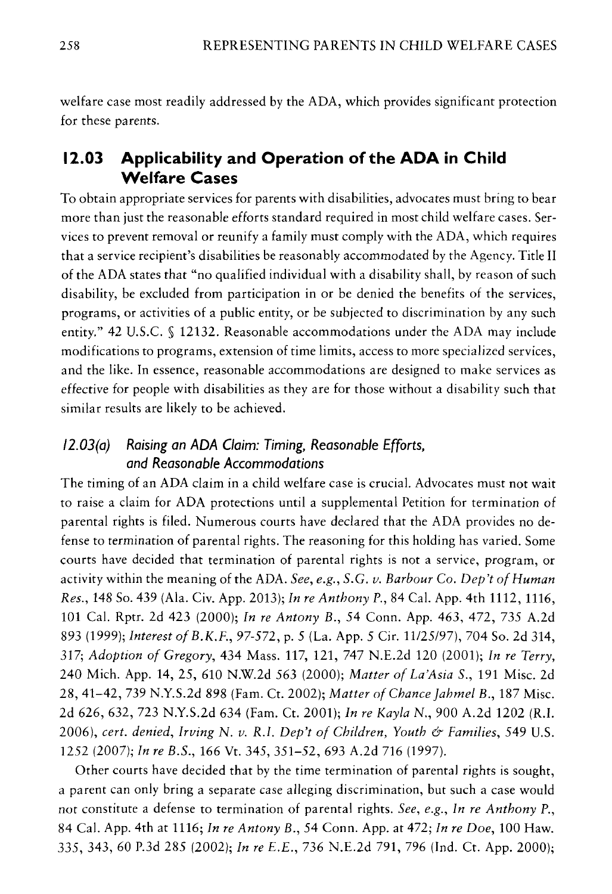welfare case most readily addressed by the ADA, which provides significant protection for these parents.

#### **12.03 Applicability and Operation of the ADA in Child Welfare Cases**

To obtain appropriate services for parents with disabilities, advocates must bring to bear more than just the reasonable efforts standard required in most child welfare cases. Services to prevent removal or reunify a family must comply with the ADA, which requires that a service recipient's disabilities be reasonably accommodated by the Agency. Title II of the ADA states that "no qualified individual with a disability shall, by reason of such disability, be excluded from participation in or be denied the benefits of the services, programs, or activities of a public entity, or be subjected to discrimination by any such entity." 42 U.S.C. § 12132. Reasonable accommodations under the ADA may include modifications to programs, extension of time limits, access to more specialized services, and the like. In essence, reasonable accommodations are designed to make services as effective for people with disabilities as they are for those without a disability such that similar results are likely to be achieved.

#### *I 2.03(a) Raising an ADA Claim: Timing, Reasonable Efforts, and Reasonable Accommodations*

The timing of an ADA claim in a child welfare case is crucial. Advocates must not wait to raise a claim for ADA protections until a supplemental Petition for termination of parental rights is filed. Numerous courts have declared that the ADA provides no defense to termination of parental rights. The reasoning for this holding has varied. Some courts have decided that termination of parental rights is not a service, program, or activity within the meaning of the ADA. *See, e.g., S.G. v. Barbour* Co. *Dep't of Human Res.,* 148 So. 439 (Ala. Civ. App. 2013); *In re Anthony P.,* 84 Cal. App. 4th 1112, 1116, 101 Cal. Rptr. 2d 423 (2000); *In re Antony* B., 54 Conn. App. 463, 472, 735 A.2d 893 (1999); *Interest of* B.K.F., 97-572, p. 5 (La. App. 5 Cir. 11/25/97), 704 So. 2d 314, 317; *Adoption of Gregory,* 434 Mass. 117, 121, 747 N.E.2d 120 (2001); *In re Terry,*  240 Mich. App. 14, 25, 610 N.W.2d 563 (2000); *Matter of La'Asia S.,* 191 Misc. 2d 28, 41-42, 739 N.Y.S.2d 898 (Fam. Ct. 2002); *Matter of Chance Jahmel* B., 187 Misc. 2d 626, 632, 723 N.Y.S.2d 634 (Fam. Ct. 2001); *In re Kayla* N., 900 A.2d 1202 (R.I. 2006), *cert. denied, Irving* N. *v. R.I. Dep't of Children, Youth & Families,* 549 U.S. 1252 (2007); *In re B.S.,* 166 Vt. 345, 351-52, 693 A.2d 716 (1997).

Other courts have decided that by the time termination of parental rights is sought, a parent can only bring a separate case alleging discrimination, but such a case would not constitute a defense to termination of parental rights. *See, e.g., In re Anthony* P., 84 Cal. App. 4th at 1116; *In re Antony B.,* 54 Conn. App. at 472; *In re Doe,* 100 Haw. 335, 343, 60 P.3d 285 (2002); *In re E.E.,* 736 N.E.2d 791, 796 (Ind. Ct. App. 2000);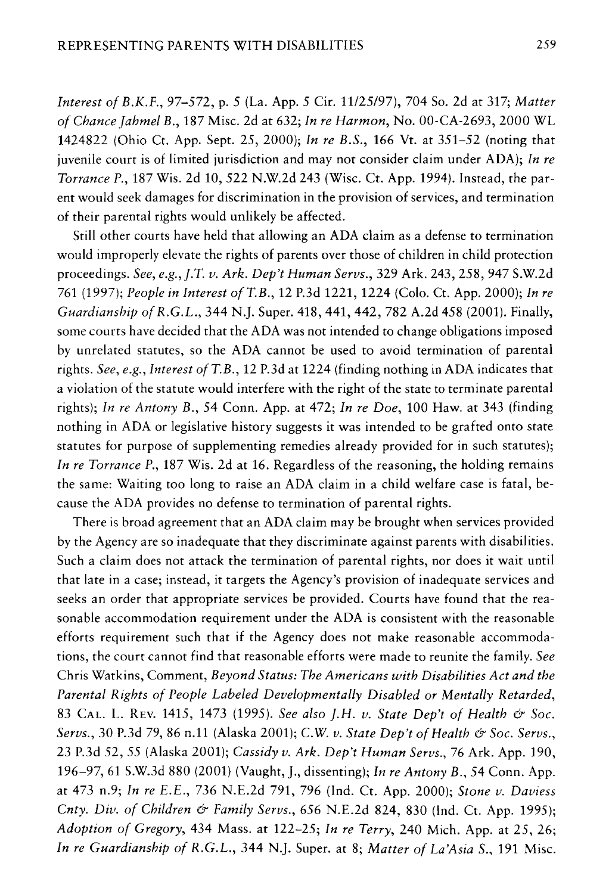*Interest of B.K.F.,* 97-572, p. 5 (La. App. 5 Cir. 11/25/97), 704 So. 2d at 317; *Matter of Chance Jahmel B.,* 187 Misc. 2d at 632; *In re Harmon,* No. 00-CA-2693, 2000 WL 1424822 (Ohio Ct. App. Sept. 25, 2000); *In re B.S.,* 166 Vt. at 351-52 (noting that juvenile court is of limited jurisdiction and may not consider claim under ADA); *In re Torrance P.,* 187 Wis. 2d 10, 522 N.W.2d 243 (Wisc. Ct. App. 1994). Instead, the parent would seek damages for discrimination in the provision of services, and termination of their parental rights would unlikely be affected.

Still other courts have held that allowing an ADA claim as a defense to termination would improperly elevate the rights of parents over those of children in child protection proceedings. *See, e.g.,J.T. v. Ark. Dep't Human Servs.,* 329 Ark. 243,258,947 S.W.2d 761 (1997); *People in Interest of T.B.,* 12 P.3d 1221, 1224 (Colo. Ct. App. 2000); *In re Guardianship of R.G.L.,* 344 N.J. Super. 418,441,442, 782 A.2d 458 (2001). Finally, some courts have decided that the ADA was not intended to change obligations imposed by unrelated statutes, so the ADA cannot be used to avoid termination of parental rights. *See, e.g., Interest of T.B.,* 12 P.3d at 1224 (finding nothing in ADA indicates that a violation of the statute would interfere with the right of the state to terminate parental rights); *In re Antony B.,* 54 Conn. App. at 472; *In re Doe,* 100 Haw. at 343 (finding nothing in ADA or legislative history suggests it was intended to be grafted onto state statutes for purpose of supplementing remedies already provided for in such statutes); *In re Torrance P.,* 187 Wis. 2d at 16. Regardless of the reasoning, the holding remains the same: Waiting too long to raise an ADA claim in a child welfare case is fatal, because the ADA provides no defense to termination of parental rights.

There is broad agreement that an ADA claim may be brought when services provided by the Agency are so inadequate that they discriminate against parents with disabilities. Such a claim does not attack the termination of parental rights, nor does it wait until that late in a case; instead, it targets the Agency's provision of inadequate services and seeks an order that appropriate services be provided. Courts have found that the reasonable accommodation requirement under the ADA is consistent with the reasonable efforts requirement such that if the Agency does not make reasonable accommodations, the court cannot find that reasonable efforts were made to reunite the family. *See*  Chris Watkins, Comment, *Beyond Status: The Americans with Disabilities Act and the Parental Rights of People Labeled Developmentally Disabled or Mentally Retarded,*  83 CAL. L. REV. 1415, 1473 (1995). *See also ].H. v. State Dep't of Health & Soc. Servs.,* 30 P.3d 79, 86 n.11 (Alaska 2001); C.W. *v. State Dep't of Health & Soc. Servs.,*  23 P.3d 52, *55* (Alaska 2001); *Cassidy v. Ark. Dep 't Human Servs.,* 76 Ark. App. 190, 196-97, 61 S.W.3d 880 (2001) (Vaught, J., dissenting); *In re Antony B., 54* Conn. App. at 473 n.9; *In re E.E.,* 736 N.E.2d 791, 796 (Ind. Ct. App. 2000); *Stone v. Daviess Cnty. Div. of Children & Family Servs.,* 656 N.E.2d 824, 830 (Ind. Ct. App. 1995); *Adoption of Gregory,* 434 Mass. at 122-25; *In re Terry,* 240 Mich. App. at 25, 26; *In re Guardianship of R.G.L.,* 344 N.J. Super. at 8; *Matter of La'Asia S.,* 191 Misc.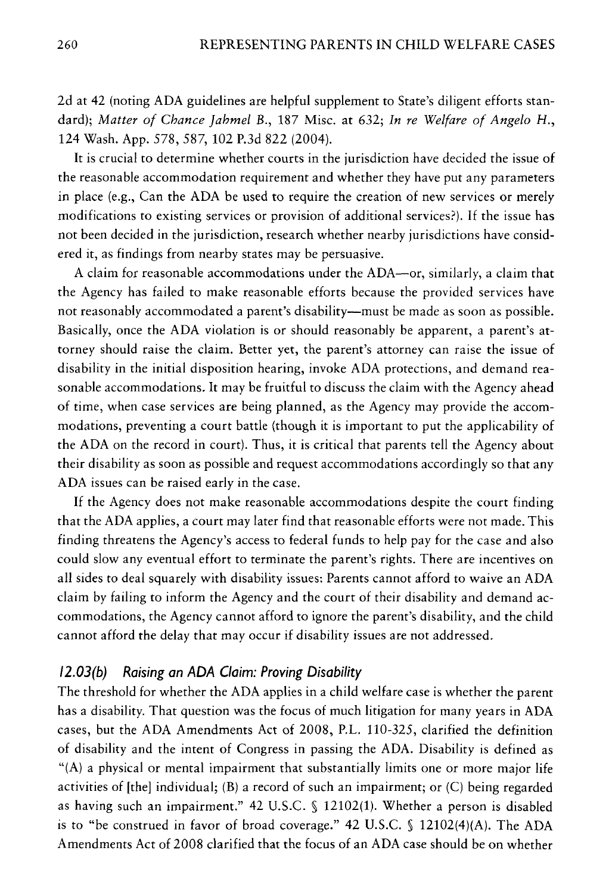2d at 42 (noting ADA guidelines are helpful supplement to State's diligent efforts standard); *Matter of Chance Jahmel B.,* 187 Misc. at 632; *In re Welfare of Angelo H.,*  124 Wash. App. 578, 587, 102 P.3d 822 (2004).

It is crucial to determine whether courts in the jurisdiction have decided the issue of the reasonable accommodation requirement and whether they have put any parameters in place (e.g., Can the ADA be used to require the creation of new services or merely modifications to existing services or provision of additional services?). If the issue has not been decided in the jurisdiction, research whether nearby jurisdictions have considered it, as findings from nearby states may be persuasive.

A claim for reasonable accommodations under the ADA-or, similarly, a claim that the Agency has failed to make reasonable efforts because the provided services have not reasonably accommodated a parent's disability-must be made as soon as possible. Basically, once the ADA violation is or should reasonably be apparent, a parent's attorney should raise the claim. Better yet, the parent's attorney can raise the issue of disability in the initial disposition hearing, invoke ADA protections, and demand reasonable accommodations. It may be fruitful to discuss the claim with the Agency ahead of time, when case services are being planned, as the Agency may provide the accommodations, preventing a court battle (though it is important to put the applicability of the ADA on the record in court). Thus, it is critical that parents tell the Agency about their disability as soon as possible and request accommodations accordingly so that any ADA issues can be raised early in the case.

If the Agency does not make reasonable accommodations despite the court finding that the ADA applies, a court may later find that reasonable efforts were not made. This finding threatens the Agency's access to federal funds to help pay for the case and also could slow any eventual effort to terminate the parent's rights. There are incentives on all sides to deal squarely with disability issues: Parents cannot afford to waive an ADA claim by failing to inform the Agency and the court of their disability and demand accommodations, the Agency cannot afford to ignore the parent's disability, and the child cannot afford the delay that may occur if disability issues are not addressed.

#### */2.0J(b) Raising an ADA Claim: Proving Disability*

The threshold for whether the ADA applies in a child welfare case is whether the parent has a disability. That question was the focus of much litigation for many years in ADA cases, but the ADA Amendments Act of 2008, P.L. 110-325, clarified the definition of disability and the intent of Congress in passing the ADA. Disability is defined as "(A) a physical or mental impairment that substantially limits one or more major life activities of  $[the]$  individual;  $(B)$  a record of such an impairment; or  $(C)$  being regarded as having such an impairment." 42 U.S.C. § 12102(1). Whether a person is disabled is to "be construed in favor of broad coverage." 42 U.S.C. § 12102(4)(A). The ADA Amendments Act of 2008 clarified that the focus of an ADA case should be on whether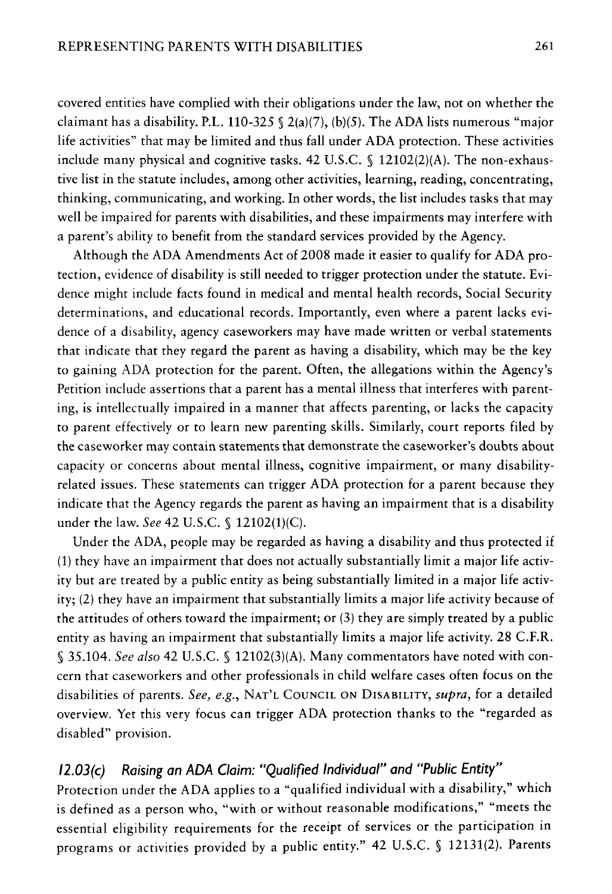covered entities have complied with their obligations under the law, not on whether the claimant has a disability. P.L. 110-325  $\Omega(a)(7)$ , (b)(5). The ADA lists numerous "major life activities" that may be limited and thus fall under ADA protection. These activities include many physical and cognitive tasks, 42 U.S.C.  $\S$  12102(2)(A). The non-exhaustive list in the statute includes, among other activities, learning, reading, concentrating, thinking, communicating, and working. In other words, the list includes tasks that may well be impaired for parents with disabilities, and these impairments may interfere with a parent's ability to benefit from the standard services provided by the Agency.

Although the ADA Amendments Act of 2008 made it easier to qualify for ADA protection, evidence of disability is still needed to trigger protection under the statute. Evidence might include facts found in medical and mental health records, Social Security determinations, and educational records. Importantly, even where a parent lacks evidence of a disability, agency caseworkers may have made written or verbal statements that indicate that they regard the parent as having a disability, which may be the key to gaining ADA protection for the parent. Often, the allegations within the Agency's Petition include assertions that a parent has a mental illness that interferes with parenting, is intellectually impaired in a manner that affects parenting, or lacks the capacity to parent effectively or to learn new parenting skills. Similarly, court reports filed by the caseworker may contain statements that demonstrate the caseworker's doubts about capacity or concerns about mental illness, cognitive impairment, or many disabilityrelated issues. These statements can trigger ADA protection for a parent because they indicate that the Agency regards the parent as having an impairment that is a disability under the law. *See* 42 U.S.C. § 12102(1)(C).

Under the ADA, people may be regarded as having a disability and thus protected if (1) they have an impairment that does not actually substantially limit a major life activity but are treated by a public entity as being substantially limited in a major life activity; (2) they have an impairment that substantially limits a major life activity because of the attitudes of others toward the impairment; or (3) they are simply treated by a public entity as having an impairment that substantially limits a major life activity. 28 C.F.R. § 35.104. *See also* 42 U.S.C. § 12102(3)(A). Many commentators have noted with concern that caseworkers and other professionals in child welfare cases often focus on the disabilities of parents. *See, e.g.,* NAT'L COUNCIL ON DISABILITY, *supra,* for a detailed overview. Yet this very focus can trigger ADA protection thanks to the "regarded as disabled" provision.

#### *12.0J(c) Raising an ADA Claim: "Qualified Individual" and "Public Entity"*

Protection under the ADA applies to a "qualified individual with a disability," which is defined as a person who, "with or without reasonable modifications," "meets the essential eligibility requirements for the receipt of services or the participation in programs or activities provided by a public entity." 42 U.S.C. § 12131(2). Parents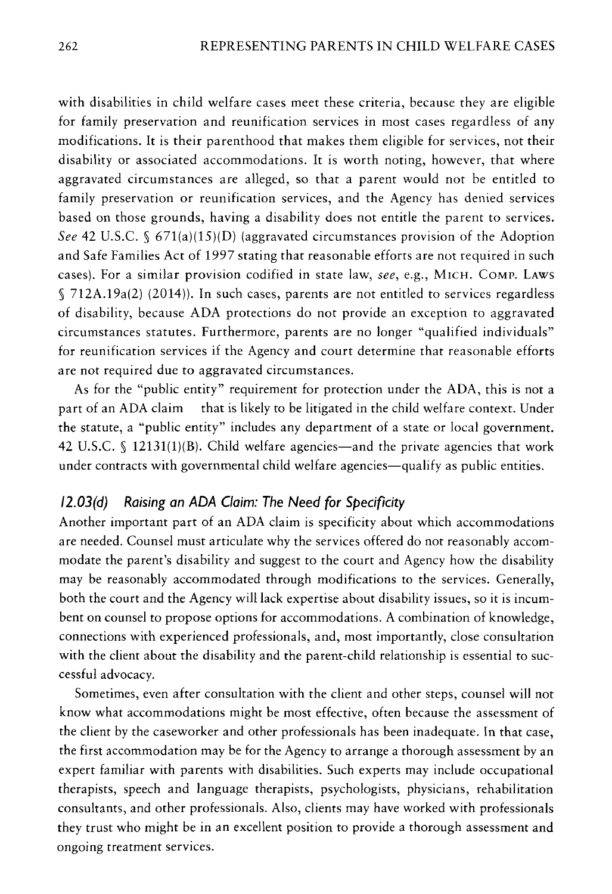with disabilities in child welfare cases meet these criteria, because they are eligible for family preservation and reunification services in most cases regardless of any modifications. It is their parenthood that makes them eligible for services, not their disability or associated accommodations. It is worth noting, however, that where aggravated circumstances are alleged, so that a parent would not be entitled to family preservation or reunification services, and the Agency has denied services based on those grounds, having a disability does not entitle the parent to services. *See* 42 U.S.C. § 671(a)(15)(D) (aggravated circumstances provision of the Adoption and Safe Families Act of 1997 stating that reasonable efforts are not required in such cases). For a similar provision codified in state law, *see,* e.g., MICH. COMP. LAWS § 712A.19a(2) (2014)). In such cases, parents are not entitled to services regardless of disability, because ADA protections do not provide an exception to aggravated circumstances statutes. Furthermore, parents are no longer "qualified individuals" for reunification services if the Agency and court determine that reasonable efforts are not required due to aggravated circumstances.

As for the "public entity" requirement for protection under the ADA, this is not a part of an ADA claim that is likely to be litigated in the child welfare context. Under the statute, a "public entity" includes any department of a state or local government. 42 U.S.C.  $\S$  12131(1)(B). Child welfare agencies—and the private agencies that work under contracts with governmental child welfare agencies—qualify as public entities.

#### */2.0J(d) Raising an ADA Claim: The* **Need** *for Specificity*

Another important part of an ADA claim is specificity about which accommodations are needed. Counsel must articulate why the services offered do not reasonably accommodate the parent's disability and suggest to the court and Agency how the disability may be reasonably accommodated through modifications to the services. Generally, both the court and the Agency will lack expertise about disability issues, so it is incumbent on counsel to propose options for accommodations. A combination of knowledge, connections with experienced professionals, and, most importantly, close consultation with the client about the disability and the parent-child relationship is essential to successful advocacy.

Sometimes, even after consultation with the client and other steps, counsel will not know what accommodations might be most effective, often because the assessment of the client by the caseworker and other professionals has been inadequate. In that case, the first accommodation may be for the Agency to arrange a thorough assessment by an expert familiar with parents with disabilities. Such experts may include occupational therapists, speech and language therapists, psychologists, physicians, rehabilitation consultants, and other professionals. Also, clients may have worked with professionals they trust who might be in an excellent position to provide a thorough assessment and ongoing treatment services.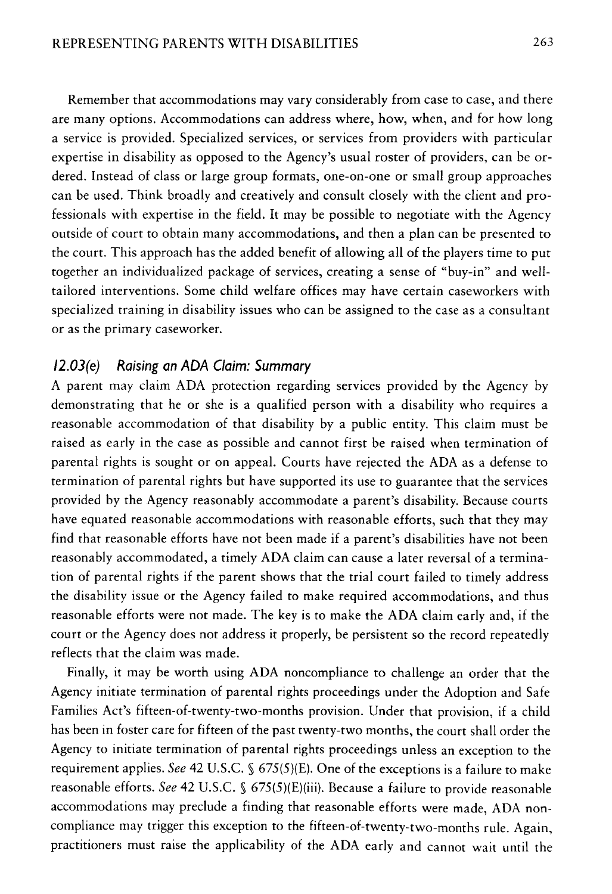Remember that accommodations may vary considerably from case to case, and there are many options. Accommodations can address where, how, when, and for how long a service is provided. Specialized services, or services from providers with particular expertise in disability as opposed to the Agency's usual roster of providers, can be ordered. Instead of class or large group formats, one-on-one or small group approaches can be used. Think broadly and creatively and consult closely with the client and professionals with expertise in the field. It may be possible to negotiate with the Agency outside of court to obtain many accommodations, and then a plan can be presented to the court. This approach has the added benefit of allowing all of the players time to put together an individualized package of services, creating a sense of "buy-in" and welltailored interventions. Some child welfare offices may have certain caseworkers with specialized training in disability issues who can be assigned to the case as a consultant or as the primary caseworker.

#### *12.0J(e) Raising an ADA Claim: Summary*

A parent may claim ADA protection regarding services provided by the Agency by demonstrating that he or she is a qualified person with a disability who requires a reasonable accommodation of that disability by a public entity. This claim must be raised as early in the case as possible and cannot first be raised when termination of parental rights is sought or on appeal. Courts have rejected the ADA as a defense to termination of parental rights but have supported its use to guarantee that the services provided by the Agency reasonably accommodate a parent's disability. Because courts have equated reasonable accommodations with reasonable efforts, such that they may find that reasonable efforts have not been made if a parent's disabilities have not been reasonably accommodated, a timely ADA claim can cause a later reversal of a termination of parental rights if the parent shows that the trial court failed to timely address the disability issue or the Agency failed to make required accommodations, and thus reasonable efforts were not made. The key is to make the ADA claim early and, if the court or the Agency does not address it properly, be persistent so the record repeatedly reflects that the claim was made.

Finally, it may be worth using ADA noncompliance to challenge an order that the Agency initiate termination of parental rights proceedings under the Adoption and Safe Families Act's fifteen-of-twenty-two-months provision. Under that provision, if a child has been in foster care for fifteen of the past twenty-two months, the court shall order the Agency to initiate termination of parental rights proceedings unless an exception to the requirement applies. *See* 42 U.S.C. § 675(5)(£). One of the exceptions is a failure to make reasonable efforts. *See* 42 U.S.C. § 675(5)(E)(iii). Because a failure to provide reasonable accommodations may preclude a finding that reasonable efforts were made, ADA noncompliance may trigger this exception to the fifteen-of-twenty-two-months rule. Again, practitioners must raise the applicability of the ADA early and cannot wait until the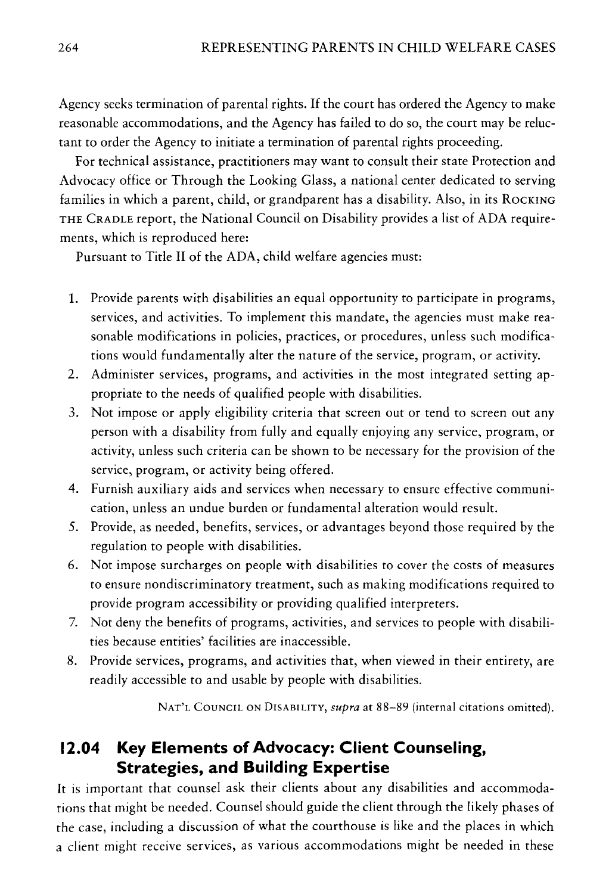Agency seeks termination of parental rights. If the court has ordered the Agency to make reasonable accommodations, and the Agency has failed to do so, the court may be reluctant to order the Agency to initiate a termination of parental rights proceeding.

For technical assistance, practitioners may want to consult their state Protection and Advocacy office or Through the Looking Glass, a national center dedicated to serving families in which a parent, child, or grandparent has a disability. Also, in its ROCKING THE CRADLE report, the National Council on Disability provides a list of ADA requirements, which is reproduced here:

Pursuant to Title II of the ADA, child welfare agencies must:

- 1. Provide parents with disabilities an equal opportunity to participate in programs, services, and activities. To implement this mandate, the agencies must make reasonable modifications in policies, practices, or procedures, unless such modifications would fundamentally alter the nature of the service, program, or activity.
- 2. Administer services, programs, and activities in the most integrated setting appropriate to the needs of qualified people with disabilities.
- 3. Not impose or apply eligibility criteria that screen out or tend to screen out any person with a disability from fully and equally enjoying any service, program, or activity, unless such criteria can be shown to be necessary for the provision of the service, program, or activity being offered.
- 4. Furnish auxiliary aids and services when necessary to ensure effective communication, unless an undue burden or fundamental alteration would result.
- 5. Provide, as needed, benefits, services, or advantages beyond those required by the regulation to people with disabilities.
- 6. Not impose surcharges on people with disabilities to cover the costs of measures to ensure nondiscriminatory treatment, such as making modifications required to provide program accessibility or providing qualified interpreters.
- 7. Not deny the benefits of programs, activities, and services to people with disabilities because entities' facilities are inaccessible.
- 8. Provide services, programs, and activities that, when viewed in their entirety, are readily accessible to and usable by people with disabilities.

NAT'L COUNCIL ON DISABILITY, *supra* at 88-89 (internal citations omitted).

#### **12.04 Key Elements of Advocacy: Client Counseling, Strategies, and Building Expertise**

It is important that counsel ask their clients about any disabilities and accommodations that might be needed. Counsel should guide the client through the likely phases of the case, including a discussion of what the courthouse is like and the places in which a client might receive services, as various accommodations might be needed in these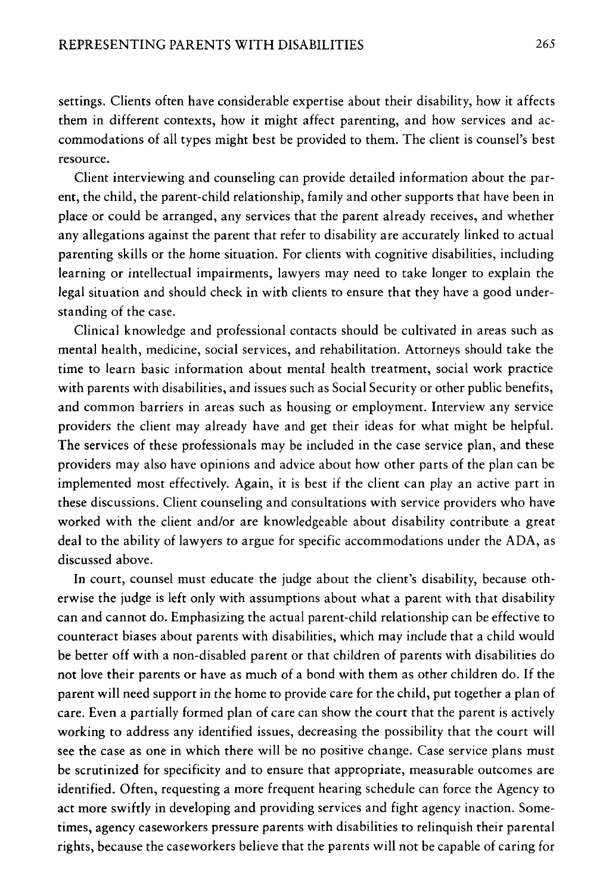settings. Clients often have considerable expertise about their disability, how it affects them in different contexts, how it might affect parenting, and how services and accommodations of all types might best be provided to them. The client is counsel's best resource.

Client interviewing and counseling can provide detailed information about the parent, the child, the parent-child relationship, family and other supports that have been in place or could be arranged, any services that the parent already receives, and whether any allegations against the parent that refer to disability are accurately linked to actual parenting skills or the home situation. For clients with cognitive disabilities, including learning or intellectual impairments, lawyers may need to take longer to explain the legal situation and should check in with clients to ensure that they have a good understanding of the case.

Clinical knowledge and professional contacts should be cultivated in areas such as mental health, medicine, social services, and rehabilitation. Attorneys should take the time to learn basic information about mental health treatment, social work practice with parents with disabilities, and issues such as Social Security or other public benefits, and common barriers in areas such as housing or employment. Interview any service providers the client may already have and get their ideas for what might be helpful. The services of these professionals may be included in the case service plan, and these providers may also have opinions and advice about how other parts of the plan can be implemented most effectively. Again, it is best if the client can play an active part in these discussions. Client counseling and consultations with service providers who have worked with the client and/or are knowledgeable about disability contribute a great deal to the ability of lawyers to argue for specific accommodations under the ADA, as discussed above.

In court, counsel must educate the judge about the client's disability, because otherwise the judge is left only with assumptions about what a parent with that disability can and cannot do. Emphasizing the actual parent-child relationship can be effective to counteract biases about parents with disabilities, which may include that a child would be better off with a non-disabled parent or that children of parents with disabilities do not love their parents or have as much of a bond with them as other children do. If the parent will need support in the home to provide care for the child, put together a plan of care. Even a partially formed plan of care can show the court that the parent is actively working to address any identified issues, decreasing the possibility that the court will see the case as one in which there will be no positive change. Case service plans must be scrutinized for specificity and to ensure that appropriate, measurable outcomes are identified. Often, requesting a more frequent hearing schedule can force the Agency to act more swiftly in developing and providing services and fight agency inaction. Sometimes, agency caseworkers pressure parents with disabilities to relinquish their parental rights, because the caseworkers believe that the parents will not be capable of caring for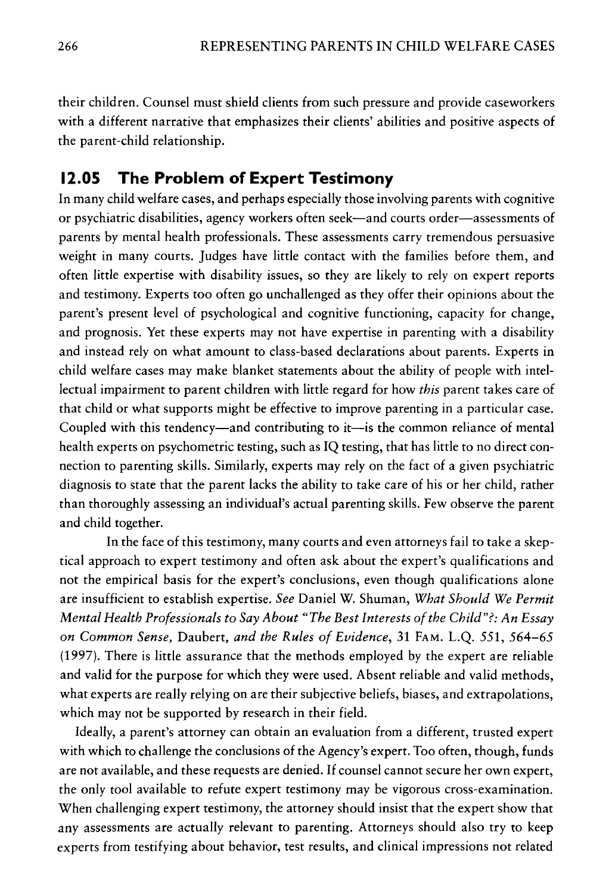their children. Counsel must shield clients from such pressure and provide caseworkers with a different narrative that emphasizes their clients' abilities and positive aspects of the parent-child relationship.

#### **12.05 The Problem of Expert Testimony**

In many child welfare cases, and perhaps especially those involving parents with cognitive or psychiatric disabilities, agency workers often seek-and courts order-assessments of parents by mental health professionals. These assessments carry tremendous persuasive weight in many courts. Judges have little contact with the families before them, and often little expertise with disability issues, so they are likely to rely on expert reports and testimony. Experts too often go unchallenged as they offer their opinions about the parent's present level of psychological and cognitive functioning, capacity for change, and prognosis. Yet these experts may not have expertise in parenting with a disability and instead rely on what amount to class-based declarations about parents. Experts in child welfare cases may make blanket statements about the ability of people with intellectual impairment to parent children with little regard for how *this* parent takes care of that child or what supports might be effective to improve parenting in a particular case. Coupled with this tendency—and contributing to it—is the common reliance of mental health experts on psychometric testing, such as IQ testing, that has little to no direct connection to parenting skills. Similarly, experts may rely on the fact of a given psychiatric diagnosis to state that the parent lacks the ability to take care of his or her child, rather than thoroughly assessing an individual's actual parenting skills. Few observe the parent and child together.

In the face of this testimony, many courts and even attorneys fail to take a skeptical approach to expert testimony and often ask about the expert's qualifications and not the empirical basis for the expert's conclusions, even though qualifications alone are insufficient to establish expertise. *See* Daniel W. Shuman, *What Should We Permit Mental Health Professionals to Say About "The Best Interests of the Child"?: An Essay on Common Sense,* Daubert, *and the Rules of Evidence,* 31 FAM. L.Q. 551, 564-65 (1997). There is little assurance that the methods employed by the expert are reliable and valid for the purpose for which they were used. Absent reliable and valid methods, what experts are really relying on are their subjective beliefs, biases, and extrapolations, which may not be supported by research in their field.

Ideally, a parent's attorney can obtain an evaluation from a different, trusted expert with which to challenge the conclusions of the Agency's expert. Too often, though, funds are not available, and these requests are denied. If counsel cannot secure her own expert, the only tool available to refute expert testimony may be vigorous cross-examination. When challenging expert testimony, the attorney should insist that the expert show that any assessments are actually relevant to parenting. Attorneys should also try to keep experts from testifying about behavior, test results, and clinical impressions not related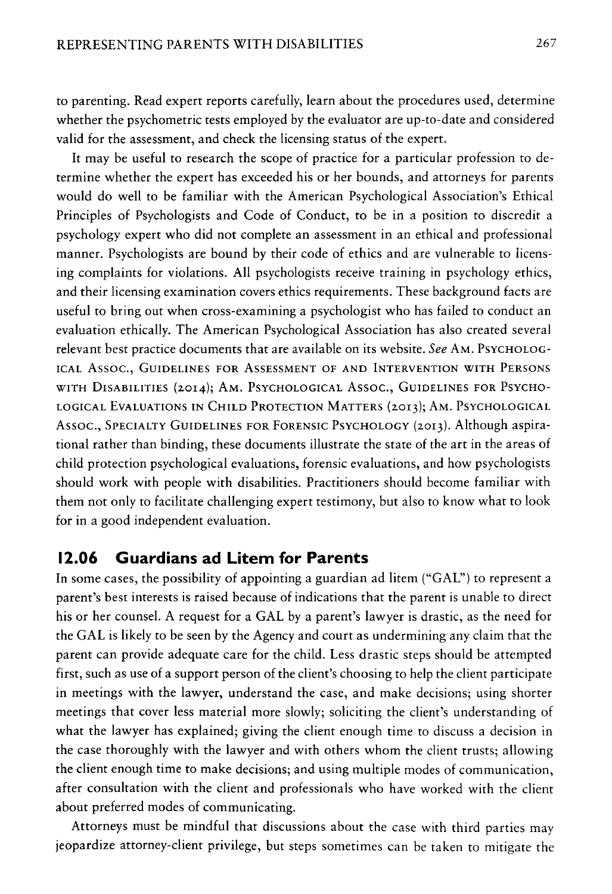to parenting. Read expert reports carefully, learn about the procedures used, determine whether the psychometric tests employed by the evaluator are up-to-date and considered valid for the assessment, and check the licensing status of the expert.

It may be useful to research the scope of practice for a particular profession to determine whether the expert has exceeded his or her bounds, and attorneys for parents would do well to be familiar with the American Psychological Association's Ethical Principles of Psychologists and Code of Conduct, to be in a position to discredit a psychology expert who did not complete an assessment in an ethical and professional manner. Psychologists are bound by their code of ethics and are vulnerable to licensing complaints for violations. All psychologists receive training in psychology ethics, and their licensing examination covers ethics requirements. These background facts are useful to bring out when cross-examining a psychologist who has failed to conduct an evaluation ethically. The American Psychological Association has also created several relevant best practice documents that are available on its website. *See* AM. PSYCHOLOG-ICAL Assoc., GUIDELINES FOR ASSESSMENT OF AND INTERVENTION WITH PERSONS WITH DISABILITIES (2014); AM. PSYCHOLOGICAL Assoc., GUIDELINES FOR PSYCHO-LOGICAL EVALUATIONS IN CHILD PROTECTION MATTERS (2013); AM. PSYCHOLOGICAL Assoc., SPECIALTY GUIDELINES FOR FORENSIC PSYCHOLOGY (2013). Although aspirational rather than binding, these documents illustrate the state of the art in the areas of child protection psychological evaluations, forensic evaluations, and how psychologists should work with people with disabilities. Practitioners should become familiar with them not only to facilitate challenging expert testimony, but also to know what to look for in a good independent evaluation.

#### **12.06 Guardians ad Litem for Parents**

In some cases, the possibility of appointing a guardian ad litem ("GAL") to represent a parent's best interests is raised because of indications that the parent is unable to direct his or her counsel. A request for a GAL by a parent's lawyer is drastic, as the need for the GAL is likely to be seen by the Agency and court as undermining any claim that the parent can provide adequate care for the child. Less drastic steps should be attempted first, such as use of a support person of the client's choosing to help the client participate in meetings with the lawyer, understand the case, and make decisions; using shorter meetings that cover less material more slowly; soliciting the client's understanding of what the lawyer has explained; giving the client enough time to discuss a decision in the case thoroughly with the lawyer and with others whom the client trusts; allowing the client enough time to make decisions; and using multiple modes of communication, after consultation with the client and professionals who have worked with the client about preferred modes of communicating.

Attorneys must be mindful that discussions about the case with third parties may jeopardize attorney-client privilege, but steps sometimes can be taken to mitigate the